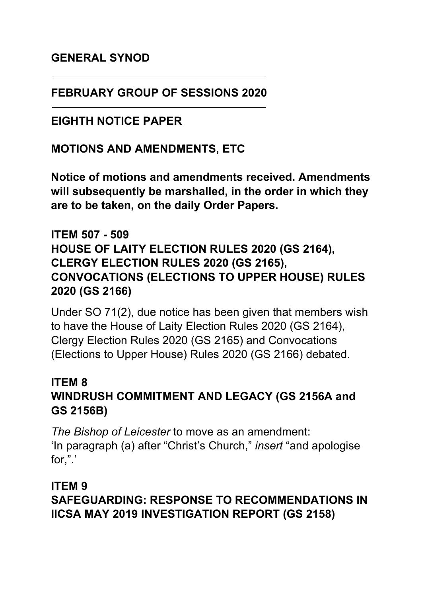#### **GENERAL SYNOD**

#### **FEBRUARY GROUP OF SESSIONS 2020**

#### **EIGHTH NOTICE PAPER**

#### **MOTIONS AND AMENDMENTS, ETC**

**Notice of motions and amendments received. Amendments will subsequently be marshalled, in the order in which they are to be taken, on the daily Order Papers.**

#### **ITEM 507 - 509 HOUSE OF LAITY ELECTION RULES 2020 (GS 2164), CLERGY ELECTION RULES 2020 (GS 2165), CONVOCATIONS (ELECTIONS TO UPPER HOUSE) RULES 2020 (GS 2166)**

Under SO 71(2), due notice has been given that members wish to have the House of Laity Election Rules 2020 (GS 2164), Clergy Election Rules 2020 (GS 2165) and Convocations (Elections to Upper House) Rules 2020 (GS 2166) debated.

#### **ITEM 8 WINDRUSH COMMITMENT AND LEGACY (GS 2156A and GS 2156B)**

*The Bishop of Leicester* to move as an amendment: 'In paragraph (a) after "Christ's Church," *insert* "and apologise for,".'

#### **ITEM 9 SAFEGUARDING: RESPONSE TO RECOMMENDATIONS IN IICSA MAY 2019 INVESTIGATION REPORT (GS 2158)**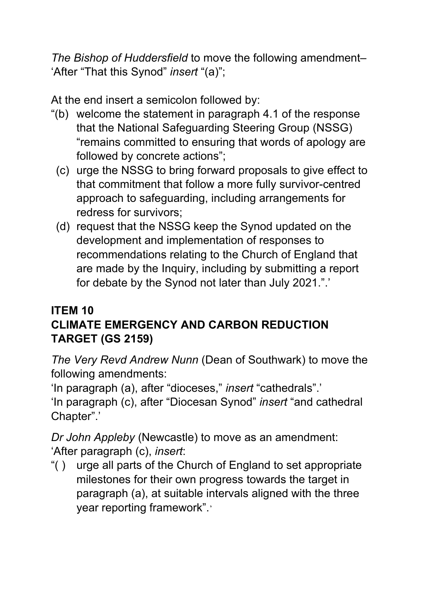*The Bishop of Huddersfield* to move the following amendment– 'After "That this Synod" *insert* "(a)";

At the end insert a semicolon followed by:

- "(b) welcome the statement in paragraph 4.1 of the response that the National Safeguarding Steering Group (NSSG) "remains committed to ensuring that words of apology are followed by concrete actions";
	- (c) urge the NSSG to bring forward proposals to give effect to that commitment that follow a more fully survivor-centred approach to safeguarding, including arrangements for redress for survivors;
	- (d) request that the NSSG keep the Synod updated on the development and implementation of responses to recommendations relating to the Church of England that are made by the Inquiry, including by submitting a report for debate by the Synod not later than July 2021.".'

#### **ITEM 10 CLIMATE EMERGENCY AND CARBON REDUCTION TARGET (GS 2159)**

*The Very Revd Andrew Nunn* (Dean of Southwark) to move the following amendments:

'In paragraph (a), after "dioceses," *insert* "cathedrals".'

'In paragraph (c), after "Diocesan Synod" *insert* "and cathedral Chapter".'

*Dr John Appleby* (Newcastle) to move as an amendment: 'After paragraph (c), *insert*:

"( ) urge all parts of the Church of England to set appropriate milestones for their own progress towards the target in paragraph (a), at suitable intervals aligned with the three year reporting framework".'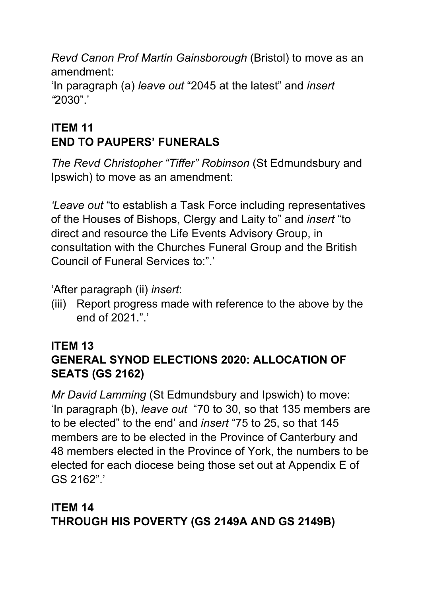*Revd Canon Prof Martin Gainsborough* (Bristol) to move as an amendment:

'In paragraph (a) *leave out* "2045 at the latest" and *insert "*2030".'

# **ITEM 11 END TO PAUPERS' FUNERALS**

*The Revd Christopher "Tiffer" Robinson* (St Edmundsbury and Ipswich) to move as an amendment:

*'Leave out* "to establish a Task Force including representatives of the Houses of Bishops, Clergy and Laity to" and *insert* "to direct and resource the Life Events Advisory Group, in consultation with the Churches Funeral Group and the British Council of Funeral Services to:"

'After paragraph (ii) *insert*:

(iii) Report progress made with reference to the above by the end of 2021 "

# **ITEM 13**

# **GENERAL SYNOD ELECTIONS 2020: ALLOCATION OF SEATS (GS 2162)**

*Mr David Lamming* (St Edmundsbury and Ipswich) to move: 'In paragraph (b), *leave out* "70 to 30, so that 135 members are to be elected" to the end' and *insert* "75 to 25, so that 145 members are to be elected in the Province of Canterbury and 48 members elected in the Province of York, the numbers to be elected for each diocese being those set out at Appendix E of GS 2162".'

### **ITEM 14 THROUGH HIS POVERTY (GS 2149A AND GS 2149B)**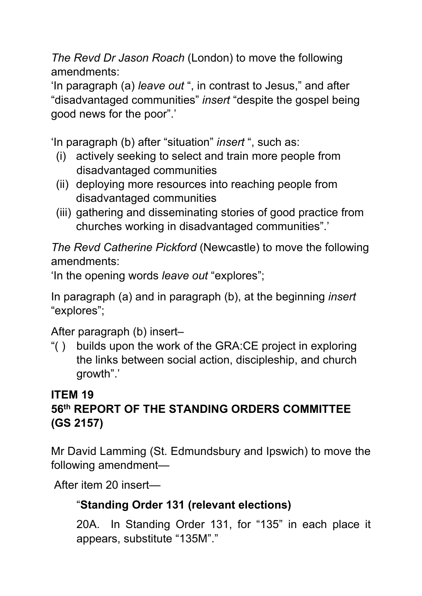*The Revd Dr Jason Roach* (London) to move the following amendments:

'In paragraph (a) *leave out* ", in contrast to Jesus," and after "disadvantaged communities" *insert* "despite the gospel being good news for the poor".'

'In paragraph (b) after "situation" *insert* ", such as:

- (i) actively seeking to select and train more people from disadvantaged communities
- (ii) deploying more resources into reaching people from disadvantaged communities
- (iii) gathering and disseminating stories of good practice from churches working in disadvantaged communities".'

*The Revd Catherine Pickford* (Newcastle) to move the following amendments:

'In the opening words *leave out* "explores";

In paragraph (a) and in paragraph (b), at the beginning *insert*  "explores";

After paragraph (b) insert–

"( ) builds upon the work of the GRA:CE project in exploring the links between social action, discipleship, and church growth".'

## **ITEM 19 56th REPORT OF THE STANDING ORDERS COMMITTEE (GS 2157)**

Mr David Lamming (St. Edmundsbury and Ipswich) to move the following amendment—

After item 20 insert—

# "**Standing Order 131 (relevant elections)**

20A. In Standing Order 131, for "135" in each place it appears, substitute "135M"."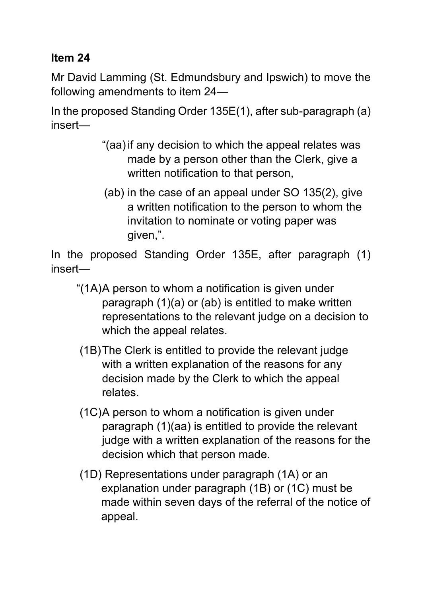#### **Item 24**

Mr David Lamming (St. Edmundsbury and Ipswich) to move the following amendments to item 24—

In the proposed Standing Order 135E(1), after sub-paragraph (a) insert—

- "(aa)if any decision to which the appeal relates was made by a person other than the Clerk, give a written notification to that person,
- (ab) in the case of an appeal under SO 135(2), give a written notification to the person to whom the invitation to nominate or voting paper was given,".

In the proposed Standing Order 135E, after paragraph (1) insert—

- "(1A)A person to whom a notification is given under paragraph (1)(a) or (ab) is entitled to make written representations to the relevant judge on a decision to which the appeal relates.
- (1B)The Clerk is entitled to provide the relevant judge with a written explanation of the reasons for any decision made by the Clerk to which the appeal relates.
- (1C)A person to whom a notification is given under paragraph (1)(aa) is entitled to provide the relevant judge with a written explanation of the reasons for the decision which that person made.
- (1D) Representations under paragraph (1A) or an explanation under paragraph (1B) or (1C) must be made within seven days of the referral of the notice of appeal.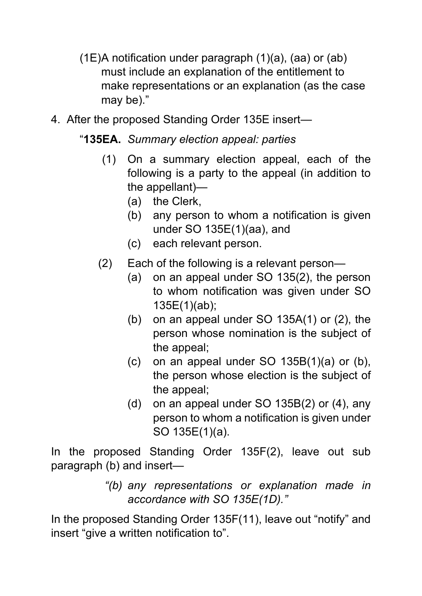- (1E)A notification under paragraph (1)(a), (aa) or (ab) must include an explanation of the entitlement to make representations or an explanation (as the case may be)."
- 4. After the proposed Standing Order 135E insert—

## "**135EA.** *Summary election appeal: parties*

- (1) On a summary election appeal, each of the following is a party to the appeal (in addition to the appellant)—
	- (a) the Clerk,
	- (b) any person to whom a notification is given under SO 135E(1)(aa), and
	- (c) each relevant person.
- (2) Each of the following is a relevant person—
	- (a) on an appeal under SO 135(2), the person to whom notification was given under SO 135E(1)(ab);
	- (b) on an appeal under SO 135A(1) or (2), the person whose nomination is the subject of the appeal;
	- (c) on an appeal under SO 135B(1)(a) or (b), the person whose election is the subject of the appeal;
	- (d) on an appeal under SO 135B(2) or (4), any person to whom a notification is given under SO 135E(1)(a).

In the proposed Standing Order 135F(2), leave out sub paragraph (b) and insert—

> *"(b) any representations or explanation made in accordance with SO 135E(1D)."*

In the proposed Standing Order 135F(11), leave out "notify" and insert "give a written notification to".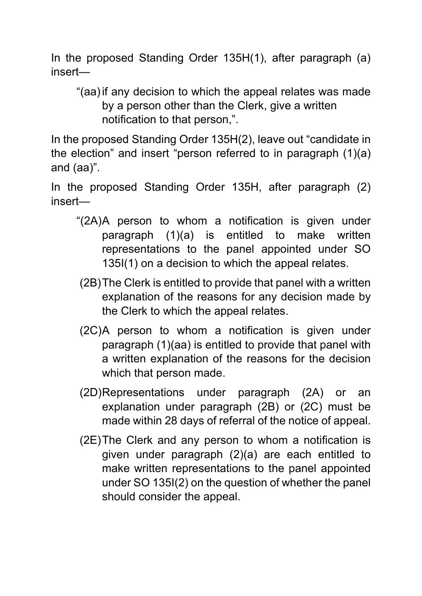In the proposed Standing Order 135H(1), after paragraph (a) insert—

"(aa)if any decision to which the appeal relates was made by a person other than the Clerk, give a written notification to that person,".

In the proposed Standing Order 135H(2), leave out "candidate in the election" and insert "person referred to in paragraph (1)(a) and (aa)".

In the proposed Standing Order 135H, after paragraph (2) insert—

- "(2A)A person to whom a notification is given under paragraph (1)(a) is entitled to make written representations to the panel appointed under SO 135I(1) on a decision to which the appeal relates.
- (2B)The Clerk is entitled to provide that panel with a written explanation of the reasons for any decision made by the Clerk to which the appeal relates.
- (2C)A person to whom a notification is given under paragraph (1)(aa) is entitled to provide that panel with a written explanation of the reasons for the decision which that person made.
- (2D)Representations under paragraph (2A) or an explanation under paragraph (2B) or (2C) must be made within 28 days of referral of the notice of appeal.
- (2E)The Clerk and any person to whom a notification is given under paragraph (2)(a) are each entitled to make written representations to the panel appointed under SO 135I(2) on the question of whether the panel should consider the appeal.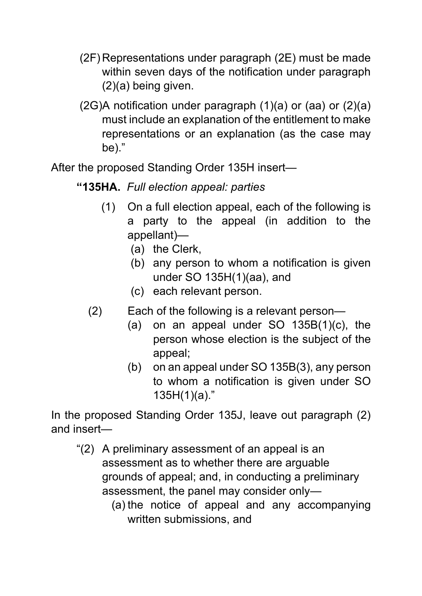- (2F) Representations under paragraph (2E) must be made within seven days of the notification under paragraph (2)(a) being given.
- (2G)A notification under paragraph (1)(a) or (aa) or (2)(a) must include an explanation of the entitlement to make representations or an explanation (as the case may be)."

After the proposed Standing Order 135H insert—

### **"135HA.** *Full election appeal: parties*

- (1) On a full election appeal, each of the following is a party to the appeal (in addition to the appellant)—
	- (a) the Clerk,
	- (b) any person to whom a notification is given under SO 135H(1)(aa), and
	- (c) each relevant person.
- (2) Each of the following is a relevant person—
	- (a) on an appeal under SO  $135B(1)(c)$ , the person whose election is the subject of the appeal;
	- (b) on an appeal under SO 135B(3), any person to whom a notification is given under SO  $135H(1)(a)$ ."

In the proposed Standing Order 135J, leave out paragraph (2) and insert—

- "(2) A preliminary assessment of an appeal is an assessment as to whether there are arguable grounds of appeal; and, in conducting a preliminary assessment, the panel may consider only—
	- (a) the notice of appeal and any accompanying written submissions, and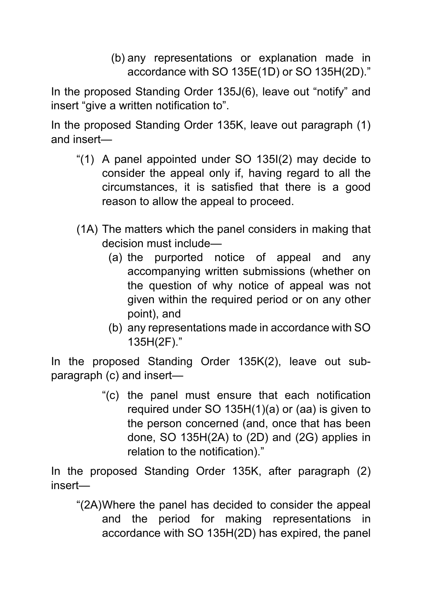(b) any representations or explanation made in accordance with SO 135E(1D) or SO 135H(2D)."

In the proposed Standing Order 135J(6), leave out "notify" and insert "give a written notification to".

In the proposed Standing Order 135K, leave out paragraph (1) and insert—

- "(1) A panel appointed under SO 135I(2) may decide to consider the appeal only if, having regard to all the circumstances, it is satisfied that there is a good reason to allow the appeal to proceed.
- (1A) The matters which the panel considers in making that decision must include—
	- (a) the purported notice of appeal and any accompanying written submissions (whether on the question of why notice of appeal was not given within the required period or on any other point), and
	- (b) any representations made in accordance with SO 135H(2F)."

In the proposed Standing Order 135K(2), leave out subparagraph (c) and insert—

> "(c) the panel must ensure that each notification required under SO 135H(1)(a) or (aa) is given to the person concerned (and, once that has been done, SO 135H(2A) to (2D) and (2G) applies in relation to the notification)."

In the proposed Standing Order 135K, after paragraph (2) insert—

"(2A)Where the panel has decided to consider the appeal and the period for making representations in accordance with SO 135H(2D) has expired, the panel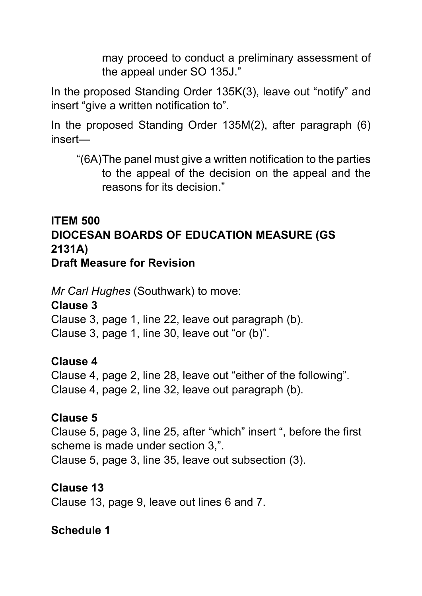may proceed to conduct a preliminary assessment of the appeal under SO 135J."

In the proposed Standing Order 135K(3), leave out "notify" and insert "give a written notification to".

In the proposed Standing Order 135M(2), after paragraph (6) insert—

"(6A)The panel must give a written notification to the parties to the appeal of the decision on the appeal and the reasons for its decision."

#### **ITEM 500 DIOCESAN BOARDS OF EDUCATION MEASURE (GS 2131A) Draft Measure for Revision**

*Mr Carl Hughes* (Southwark) to move:

**Clause 3** 

Clause 3, page 1, line 22, leave out paragraph (b).

Clause 3, page 1, line 30, leave out "or (b)".

#### **Clause 4**

Clause 4, page 2, line 28, leave out "either of the following". Clause 4, page 2, line 32, leave out paragraph (b).

#### **Clause 5**

Clause 5, page 3, line 25, after "which" insert ", before the first scheme is made under section 3,".

Clause 5, page 3, line 35, leave out subsection (3).

#### **Clause 13**

Clause 13, page 9, leave out lines 6 and 7.

### **Schedule 1**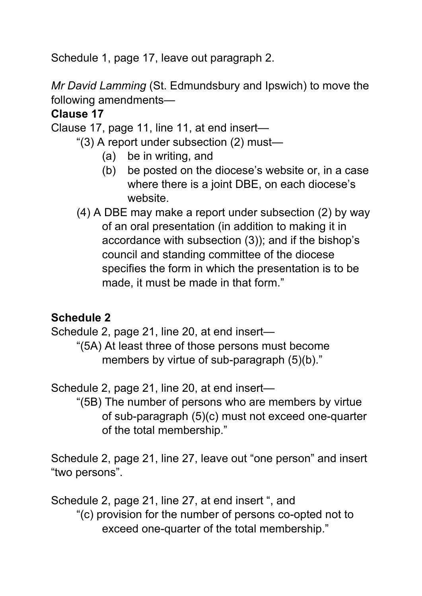Schedule 1, page 17, leave out paragraph 2.

*Mr David Lamming* (St. Edmundsbury and Ipswich) to move the following amendments—

### **Clause 17**

Clause 17, page 11, line 11, at end insert—

- "(3) A report under subsection (2) must—
	- (a) be in writing, and
	- (b) be posted on the diocese's website or, in a case where there is a joint DBE, on each diocese's website.
- (4) A DBE may make a report under subsection (2) by way of an oral presentation (in addition to making it in accordance with subsection (3)); and if the bishop's council and standing committee of the diocese specifies the form in which the presentation is to be made, it must be made in that form."

### **Schedule 2**

Schedule 2, page 21, line 20, at end insert—

"(5A) At least three of those persons must become members by virtue of sub-paragraph (5)(b)."

Schedule 2, page 21, line 20, at end insert—

"(5B) The number of persons who are members by virtue of sub-paragraph (5)(c) must not exceed one-quarter of the total membership."

Schedule 2, page 21, line 27, leave out "one person" and insert "two persons".

Schedule 2, page 21, line 27, at end insert ", and "(c) provision for the number of persons co-opted not to exceed one-quarter of the total membership."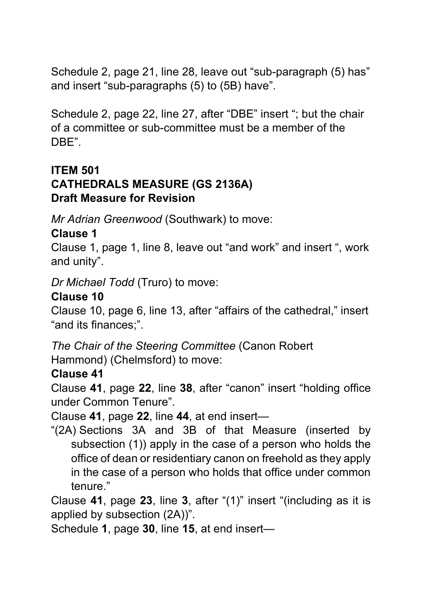Schedule 2, page 21, line 28, leave out "sub-paragraph (5) has" and insert "sub-paragraphs (5) to (5B) have".

Schedule 2, page 22, line 27, after "DBE" insert "; but the chair of a committee or sub-committee must be a member of the DBE".

#### **ITEM 501 CATHEDRALS MEASURE (GS 2136A) Draft Measure for Revision**

*Mr Adrian Greenwood* (Southwark) to move:

# **Clause 1**

Clause 1, page 1, line 8, leave out "and work" and insert ", work and unity".

*Dr Michael Todd* (Truro) to move:

## **Clause 10**

Clause 10, page 6, line 13, after "affairs of the cathedral," insert "and its finances;".

*The Chair of the Steering Committee* (Canon Robert Hammond) (Chelmsford) to move:

# **Clause 41**

Clause **41**, page **22**, line **38**, after "canon" insert "holding office under Common Tenure".

Clause **41**, page **22**, line **44**, at end insert—

"(2A) Sections 3A and 3B of that Measure (inserted by subsection (1)) apply in the case of a person who holds the office of dean or residentiary canon on freehold as they apply in the case of a person who holds that office under common tenure."

Clause **41**, page **23**, line **3**, after "(1)" insert "(including as it is applied by subsection (2A))".

Schedule **1**, page **30**, line **15**, at end insert—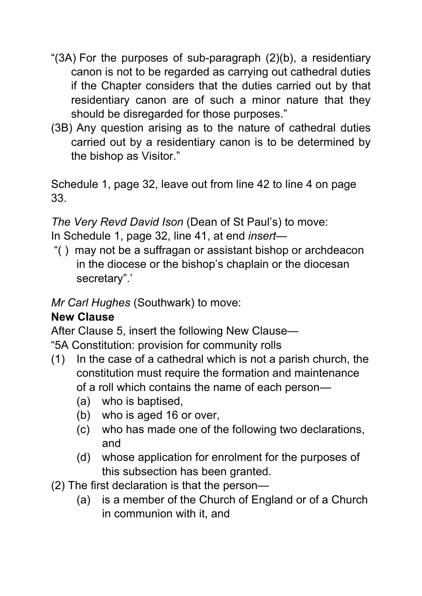- "(3A) For the purposes of sub-paragraph (2)(b), a residentiary canon is not to be regarded as carrying out cathedral duties if the Chapter considers that the duties carried out by that residentiary canon are of such a minor nature that they should be disregarded for those purposes."
- (3B) Any question arising as to the nature of cathedral duties carried out by a residentiary canon is to be determined by the bishop as Visitor."

Schedule 1, page 32, leave out from line 42 to line 4 on page 33.

*The Very Revd David Ison* (Dean of St Paul's) to move: In Schedule 1, page 32, line 41, at end *insert*—

"( ) may not be a suffragan or assistant bishop or archdeacon in the diocese or the bishop's chaplain or the diocesan secretary".'

*Mr Carl Hughes* (Southwark) to move:

#### **New Clause**

After Clause 5, insert the following New Clause—

"5A Constitution: provision for community rolls

- (1) In the case of a cathedral which is not a parish church, the constitution must require the formation and maintenance of a roll which contains the name of each person—
	- (a) who is baptised,
	- (b) who is aged 16 or over,
	- (c) who has made one of the following two declarations, and
	- (d) whose application for enrolment for the purposes of this subsection has been granted.
- (2) The first declaration is that the person—
	- (a) is a member of the Church of England or of a Church in communion with it, and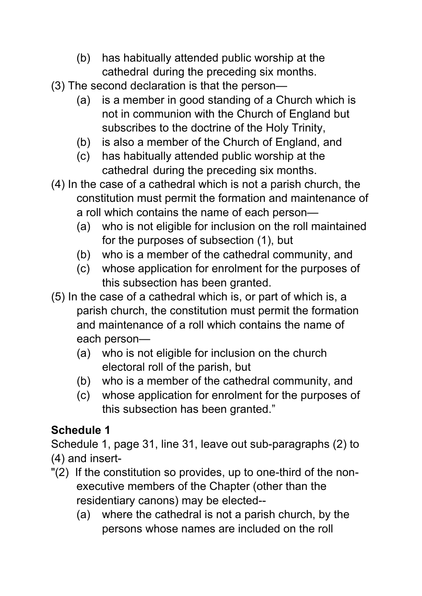- (b) has habitually attended public worship at the cathedral during the preceding six months.
- (3) The second declaration is that the person—
	- (a) is a member in good standing of a Church which is not in communion with the Church of England but subscribes to the doctrine of the Holy Trinity,
	- (b) is also a member of the Church of England, and
	- (c) has habitually attended public worship at the cathedral during the preceding six months.
- (4) In the case of a cathedral which is not a parish church, the constitution must permit the formation and maintenance of a roll which contains the name of each person—
	- (a) who is not eligible for inclusion on the roll maintained for the purposes of subsection (1), but
	- (b) who is a member of the cathedral community, and
	- (c) whose application for enrolment for the purposes of this subsection has been granted.
- (5) In the case of a cathedral which is, or part of which is, a parish church, the constitution must permit the formation and maintenance of a roll which contains the name of each person—
	- (a) who is not eligible for inclusion on the church electoral roll of the parish, but
	- (b) who is a member of the cathedral community, and
	- (c) whose application for enrolment for the purposes of this subsection has been granted."

# **Schedule 1**

Schedule 1, page 31, line 31, leave out sub-paragraphs (2) to (4) and insert-

- "(2) If the constitution so provides, up to one-third of the nonexecutive members of the Chapter (other than the residentiary canons) may be elected--
	- (a) where the cathedral is not a parish church, by the persons whose names are included on the roll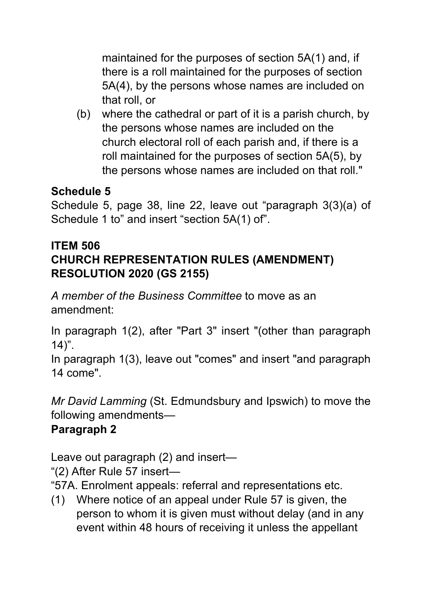maintained for the purposes of section 5A(1) and, if there is a roll maintained for the purposes of section 5A(4), by the persons whose names are included on that roll, or

(b) where the cathedral or part of it is a parish church, by the persons whose names are included on the church electoral roll of each parish and, if there is a roll maintained for the purposes of section 5A(5), by the persons whose names are included on that roll."

## **Schedule 5**

Schedule 5, page 38, line 22, leave out "paragraph 3(3)(a) of Schedule 1 to" and insert "section 5A(1) of".

### **ITEM 506 CHURCH REPRESENTATION RULES (AMENDMENT) RESOLUTION 2020 (GS 2155)**

*A member of the Business Committee* to move as an amendment:

In paragraph 1(2), after "Part 3" insert "(other than paragraph  $14$ ".

In paragraph 1(3), leave out "comes" and insert "and paragraph 14 come".

*Mr David Lamming* (St. Edmundsbury and Ipswich) to move the following amendments—

# **Paragraph 2**

Leave out paragraph (2) and insert—

"(2) After Rule 57 insert—

"57A. Enrolment appeals: referral and representations etc.

(1) Where notice of an appeal under Rule 57 is given, the person to whom it is given must without delay (and in any event within 48 hours of receiving it unless the appellant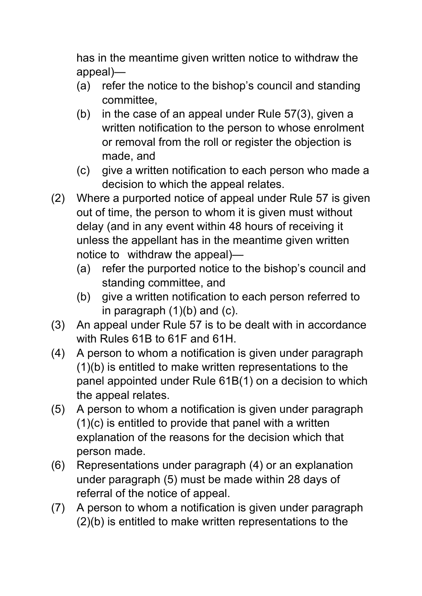has in the meantime given written notice to withdraw the appeal)—

- (a) refer the notice to the bishop's council and standing committee,
- (b) in the case of an appeal under Rule 57(3), given a written notification to the person to whose enrolment or removal from the roll or register the objection is made, and
- (c) give a written notification to each person who made a decision to which the appeal relates.
- (2) Where a purported notice of appeal under Rule 57 is given out of time, the person to whom it is given must without delay (and in any event within 48 hours of receiving it unless the appellant has in the meantime given written notice to withdraw the appeal)—
	- (a) refer the purported notice to the bishop's council and standing committee, and
	- (b) give a written notification to each person referred to in paragraph  $(1)(b)$  and  $(c)$ .
- (3) An appeal under Rule 57 is to be dealt with in accordance with Rules 61B to 61F and 61H.
- (4) A person to whom a notification is given under paragraph (1)(b) is entitled to make written representations to the panel appointed under Rule 61B(1) on a decision to which the appeal relates.
- (5) A person to whom a notification is given under paragraph (1)(c) is entitled to provide that panel with a written explanation of the reasons for the decision which that person made.
- (6) Representations under paragraph (4) or an explanation under paragraph (5) must be made within 28 days of referral of the notice of appeal.
- (7) A person to whom a notification is given under paragraph (2)(b) is entitled to make written representations to the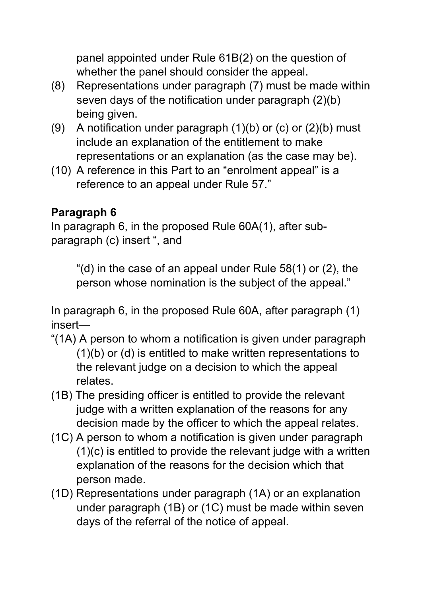panel appointed under Rule 61B(2) on the question of whether the panel should consider the appeal.

- (8) Representations under paragraph (7) must be made within seven days of the notification under paragraph (2)(b) being given.
- (9) A notification under paragraph  $(1)(b)$  or  $(c)$  or  $(2)(b)$  must include an explanation of the entitlement to make representations or an explanation (as the case may be).
- (10) A reference in this Part to an "enrolment appeal" is a reference to an appeal under Rule 57."

## **Paragraph 6**

In paragraph 6, in the proposed Rule 60A(1), after subparagraph (c) insert ", and

"(d) in the case of an appeal under Rule 58(1) or (2), the person whose nomination is the subject of the appeal."

In paragraph 6, in the proposed Rule 60A, after paragraph (1) insert—

- "(1A) A person to whom a notification is given under paragraph (1)(b) or (d) is entitled to make written representations to the relevant judge on a decision to which the appeal relates.
- (1B) The presiding officer is entitled to provide the relevant judge with a written explanation of the reasons for any decision made by the officer to which the appeal relates.
- (1C) A person to whom a notification is given under paragraph (1)(c) is entitled to provide the relevant judge with a written explanation of the reasons for the decision which that person made.
- (1D) Representations under paragraph (1A) or an explanation under paragraph (1B) or (1C) must be made within seven days of the referral of the notice of appeal.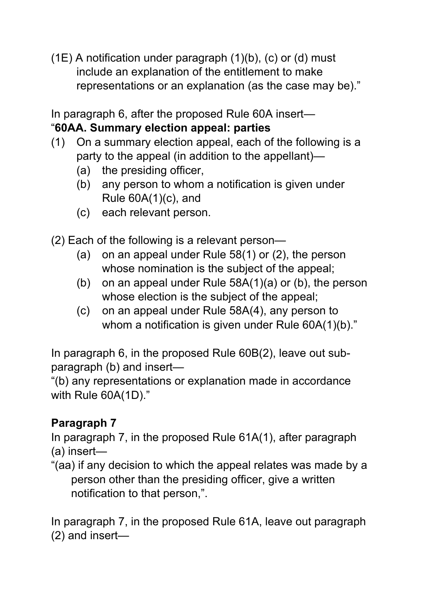$(1E)$  A notification under paragraph  $(1)(b)$ ,  $(c)$  or  $(d)$  must include an explanation of the entitlement to make representations or an explanation (as the case may be)."

In paragraph 6, after the proposed Rule 60A insert—

#### "**60AA. Summary election appeal: parties**

- (1) On a summary election appeal, each of the following is a party to the appeal (in addition to the appellant)—
	- (a) the presiding officer,
	- (b) any person to whom a notification is given under Rule 60A(1)(c), and
	- (c) each relevant person.

(2) Each of the following is a relevant person—

- (a) on an appeal under Rule 58(1) or (2), the person whose nomination is the subject of the appeal;
- (b) on an appeal under Rule 58A(1)(a) or (b), the person whose election is the subject of the appeal;
- (c) on an appeal under Rule 58A(4), any person to whom a notification is given under Rule 60A(1)(b)."

In paragraph 6, in the proposed Rule 60B(2), leave out subparagraph (b) and insert—

"(b) any representations or explanation made in accordance with Rule 60A(1D)."

# **Paragraph 7**

In paragraph 7, in the proposed Rule 61A(1), after paragraph (a) insert—

"(aa) if any decision to which the appeal relates was made by a person other than the presiding officer, give a written notification to that person,".

In paragraph 7, in the proposed Rule 61A, leave out paragraph (2) and insert—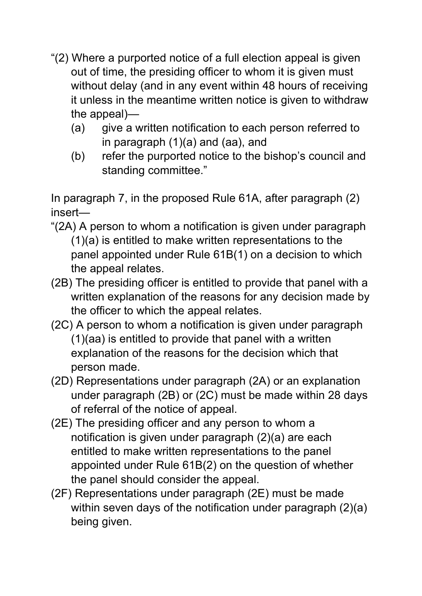- "(2) Where a purported notice of a full election appeal is given out of time, the presiding officer to whom it is given must without delay (and in any event within 48 hours of receiving it unless in the meantime written notice is given to withdraw the appeal)—
	- (a) give a written notification to each person referred to in paragraph (1)(a) and (aa), and
	- (b) refer the purported notice to the bishop's council and standing committee."

In paragraph 7, in the proposed Rule 61A, after paragraph (2) insert—

- "(2A) A person to whom a notification is given under paragraph (1)(a) is entitled to make written representations to the panel appointed under Rule 61B(1) on a decision to which the appeal relates.
- (2B) The presiding officer is entitled to provide that panel with a written explanation of the reasons for any decision made by the officer to which the appeal relates.
- (2C) A person to whom a notification is given under paragraph (1)(aa) is entitled to provide that panel with a written explanation of the reasons for the decision which that person made.
- (2D) Representations under paragraph (2A) or an explanation under paragraph (2B) or (2C) must be made within 28 days of referral of the notice of appeal.
- (2E) The presiding officer and any person to whom a notification is given under paragraph (2)(a) are each entitled to make written representations to the panel appointed under Rule 61B(2) on the question of whether the panel should consider the appeal.
- (2F) Representations under paragraph (2E) must be made within seven days of the notification under paragraph (2)(a) being given.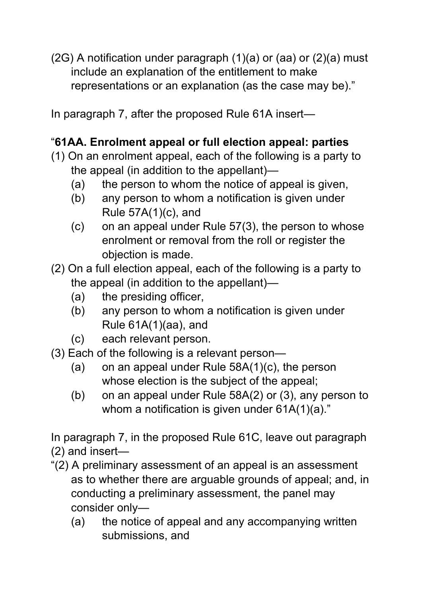$(2G)$  A notification under paragraph  $(1)(a)$  or  $(aa)$  or  $(2)(a)$  must include an explanation of the entitlement to make representations or an explanation (as the case may be)."

In paragraph 7, after the proposed Rule 61A insert—

## "**61AA. Enrolment appeal or full election appeal: parties**

- (1) On an enrolment appeal, each of the following is a party to the appeal (in addition to the appellant)—
	- (a) the person to whom the notice of appeal is given,
	- (b) any person to whom a notification is given under Rule 57A(1)(c), and
	- (c) on an appeal under Rule 57(3), the person to whose enrolment or removal from the roll or register the objection is made.
- (2) On a full election appeal, each of the following is a party to the appeal (in addition to the appellant)—
	- (a) the presiding officer,
	- (b) any person to whom a notification is given under Rule 61A(1)(aa), and
	- (c) each relevant person.
- (3) Each of the following is a relevant person—
	- (a) on an appeal under Rule 58A(1)(c), the person whose election is the subject of the appeal;
	- (b) on an appeal under Rule 58A(2) or (3), any person to whom a notification is given under 61A(1)(a)."

In paragraph 7, in the proposed Rule 61C, leave out paragraph (2) and insert—

- "(2) A preliminary assessment of an appeal is an assessment as to whether there are arguable grounds of appeal; and, in conducting a preliminary assessment, the panel may consider only—
	- (a) the notice of appeal and any accompanying written submissions, and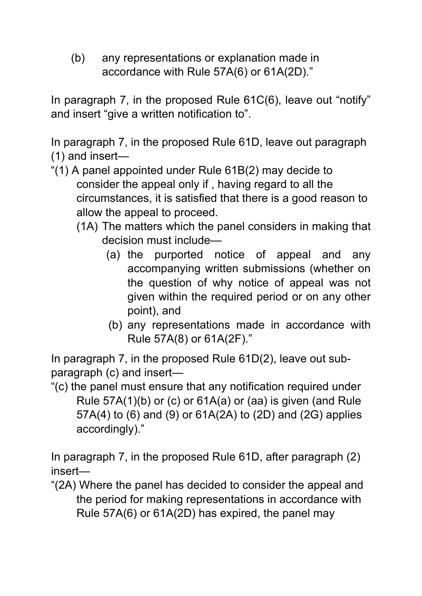(b) any representations or explanation made in accordance with Rule 57A(6) or 61A(2D)."

In paragraph 7, in the proposed Rule 61C(6), leave out "notify" and insert "give a written notification to".

In paragraph 7, in the proposed Rule 61D, leave out paragraph (1) and insert—

- "(1) A panel appointed under Rule 61B(2) may decide to consider the appeal only if , having regard to all the circumstances, it is satisfied that there is a good reason to allow the appeal to proceed.
	- (1A) The matters which the panel considers in making that decision must include—
		- (a) the purported notice of appeal and any accompanying written submissions (whether on the question of why notice of appeal was not given within the required period or on any other point), and
		- (b) any representations made in accordance with Rule 57A(8) or 61A(2F)."

In paragraph 7, in the proposed Rule 61D(2), leave out subparagraph (c) and insert—

"(c) the panel must ensure that any notification required under Rule 57A(1)(b) or (c) or 61A(a) or (aa) is given (and Rule 57A(4) to (6) and (9) or 61A(2A) to (2D) and (2G) applies accordingly)."

In paragraph 7, in the proposed Rule 61D, after paragraph (2) insert—

"(2A) Where the panel has decided to consider the appeal and the period for making representations in accordance with Rule 57A(6) or 61A(2D) has expired, the panel may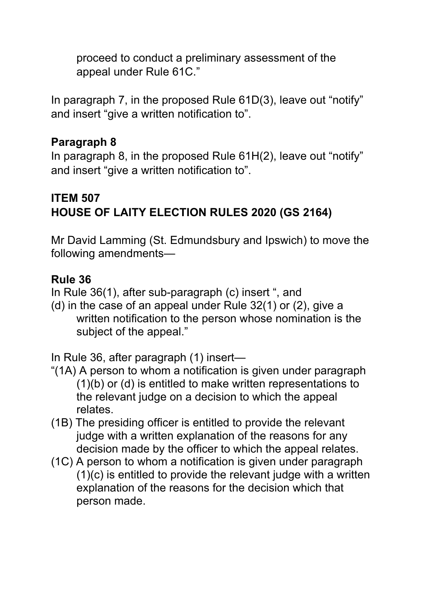proceed to conduct a preliminary assessment of the appeal under Rule 61C."

In paragraph 7, in the proposed Rule 61D(3), leave out "notify" and insert "give a written notification to".

#### **Paragraph 8**

In paragraph 8, in the proposed Rule 61H(2), leave out "notify" and insert "give a written notification to".

### **ITEM 507 HOUSE OF LAITY ELECTION RULES 2020 (GS 2164)**

Mr David Lamming (St. Edmundsbury and Ipswich) to move the following amendments—

#### **Rule 36**

In Rule 36(1), after sub-paragraph (c) insert ", and

(d) in the case of an appeal under Rule 32(1) or (2), give a written notification to the person whose nomination is the subject of the appeal."

In Rule 36, after paragraph (1) insert—

- "(1A) A person to whom a notification is given under paragraph (1)(b) or (d) is entitled to make written representations to the relevant judge on a decision to which the appeal relates.
- (1B) The presiding officer is entitled to provide the relevant judge with a written explanation of the reasons for any decision made by the officer to which the appeal relates.
- (1C) A person to whom a notification is given under paragraph (1)(c) is entitled to provide the relevant judge with a written explanation of the reasons for the decision which that person made.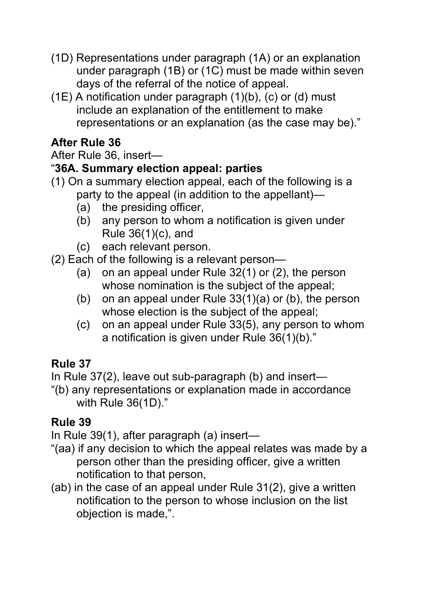- (1D) Representations under paragraph (1A) or an explanation under paragraph (1B) or (1C) must be made within seven days of the referral of the notice of appeal.
- $(1E)$  A notification under paragraph  $(1)(b)$ ,  $(c)$  or  $(d)$  must include an explanation of the entitlement to make representations or an explanation (as the case may be)."

## **After Rule 36**

#### After Rule 36, insert—

#### "**36A. Summary election appeal: parties**

- (1) On a summary election appeal, each of the following is a party to the appeal (in addition to the appellant)—
	- (a) the presiding officer,
	- (b) any person to whom a notification is given under Rule 36(1)(c), and
	- (c) each relevant person.
- (2) Each of the following is a relevant person—
	- (a) on an appeal under Rule 32(1) or (2), the person whose nomination is the subject of the appeal;
	- (b) on an appeal under Rule 33(1)(a) or (b), the person whose election is the subject of the appeal;
	- (c) on an appeal under Rule 33(5), any person to whom a notification is given under Rule 36(1)(b)."

### **Rule 37**

In Rule 37(2), leave out sub-paragraph (b) and insert—

"(b) any representations or explanation made in accordance with Rule 36(1D)."

### **Rule 39**

In Rule 39(1), after paragraph (a) insert—

- "(aa) if any decision to which the appeal relates was made by a person other than the presiding officer, give a written notification to that person,
- (ab) in the case of an appeal under Rule 31(2), give a written notification to the person to whose inclusion on the list objection is made,".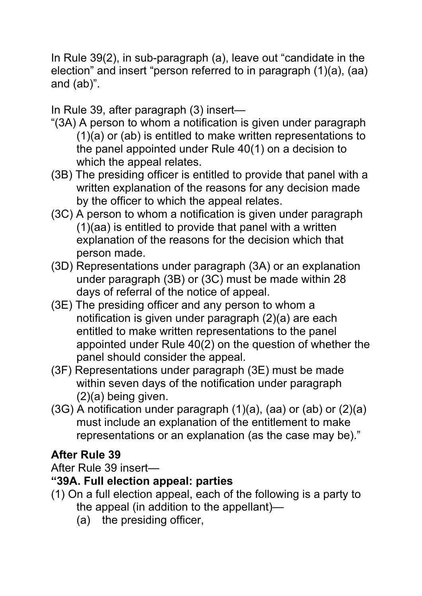In Rule 39(2), in sub-paragraph (a), leave out "candidate in the election" and insert "person referred to in paragraph (1)(a), (aa) and (ab)".

In Rule 39, after paragraph (3) insert—

- "(3A) A person to whom a notification is given under paragraph (1)(a) or (ab) is entitled to make written representations to the panel appointed under Rule 40(1) on a decision to which the appeal relates.
- (3B) The presiding officer is entitled to provide that panel with a written explanation of the reasons for any decision made by the officer to which the appeal relates.
- (3C) A person to whom a notification is given under paragraph (1)(aa) is entitled to provide that panel with a written explanation of the reasons for the decision which that person made.
- (3D) Representations under paragraph (3A) or an explanation under paragraph (3B) or (3C) must be made within 28 days of referral of the notice of appeal.
- (3E) The presiding officer and any person to whom a notification is given under paragraph (2)(a) are each entitled to make written representations to the panel appointed under Rule 40(2) on the question of whether the panel should consider the appeal.
- (3F) Representations under paragraph (3E) must be made within seven days of the notification under paragraph (2)(a) being given.
- (3G) A notification under paragraph (1)(a), (aa) or (ab) or (2)(a) must include an explanation of the entitlement to make representations or an explanation (as the case may be)."

### **After Rule 39**

After Rule 39 insert—

#### **"39A. Full election appeal: parties**

- (1) On a full election appeal, each of the following is a party to
	- the appeal (in addition to the appellant)—
	- (a) the presiding officer,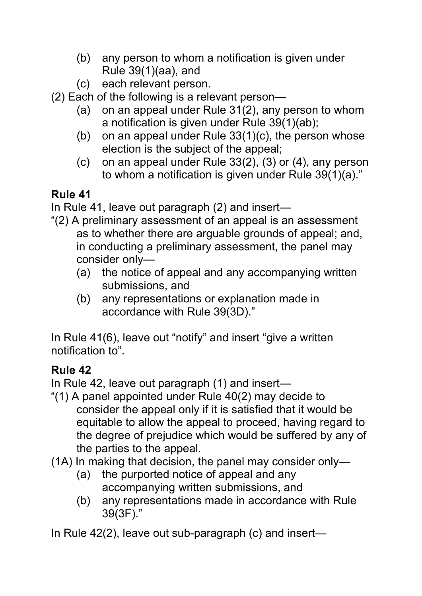- (b) any person to whom a notification is given under Rule 39(1)(aa), and
- (c) each relevant person.
- (2) Each of the following is a relevant person—
	- (a) on an appeal under Rule 31(2), any person to whom a notification is given under Rule 39(1)(ab);
	- (b) on an appeal under Rule 33(1)(c), the person whose election is the subject of the appeal;
	- (c) on an appeal under Rule 33(2), (3) or (4), any person to whom a notification is given under Rule 39(1)(a)."

# **Rule 41**

In Rule 41, leave out paragraph (2) and insert—

- "(2) A preliminary assessment of an appeal is an assessment as to whether there are arguable grounds of appeal; and, in conducting a preliminary assessment, the panel may consider only—
	- (a) the notice of appeal and any accompanying written submissions, and
	- (b) any representations or explanation made in accordance with Rule 39(3D)."

In Rule 41(6), leave out "notify" and insert "give a written notification to".

# **Rule 42**

In Rule 42, leave out paragraph (1) and insert—

- "(1) A panel appointed under Rule 40(2) may decide to consider the appeal only if it is satisfied that it would be equitable to allow the appeal to proceed, having regard to the degree of prejudice which would be suffered by any of the parties to the appeal.
- (1A) In making that decision, the panel may consider only—
	- (a) the purported notice of appeal and any accompanying written submissions, and
	- (b) any representations made in accordance with Rule 39(3F)."

In Rule 42(2), leave out sub-paragraph (c) and insert—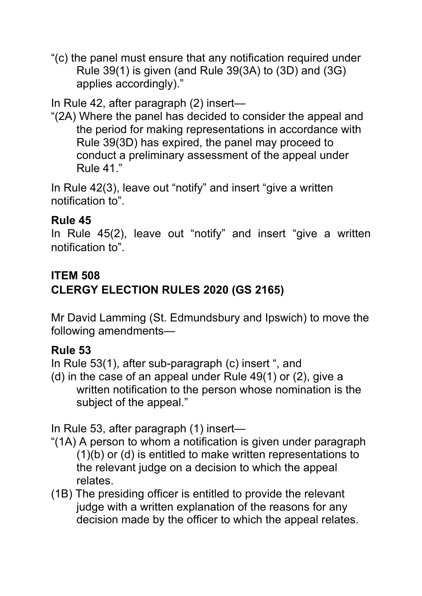"(c) the panel must ensure that any notification required under Rule 39(1) is given (and Rule 39(3A) to (3D) and (3G) applies accordingly)."

In Rule 42, after paragraph (2) insert—

"(2A) Where the panel has decided to consider the appeal and the period for making representations in accordance with Rule 39(3D) has expired, the panel may proceed to conduct a preliminary assessment of the appeal under Rule 41."

In Rule 42(3), leave out "notify" and insert "give a written notification to".

#### **Rule 45**

In Rule 45(2), leave out "notify" and insert "give a written notification to".

#### **ITEM 508**

# **CLERGY ELECTION RULES 2020 (GS 2165)**

Mr David Lamming (St. Edmundsbury and Ipswich) to move the following amendments—

#### **Rule 53**

In Rule 53(1), after sub-paragraph (c) insert ", and

(d) in the case of an appeal under Rule 49(1) or (2), give a written notification to the person whose nomination is the subject of the appeal."

In Rule 53, after paragraph (1) insert—

- "(1A) A person to whom a notification is given under paragraph (1)(b) or (d) is entitled to make written representations to the relevant judge on a decision to which the appeal relates.
- (1B) The presiding officer is entitled to provide the relevant judge with a written explanation of the reasons for any decision made by the officer to which the appeal relates.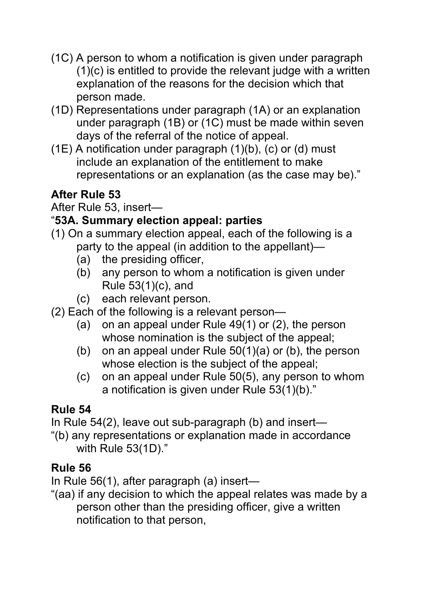- (1C) A person to whom a notification is given under paragraph (1)(c) is entitled to provide the relevant judge with a written explanation of the reasons for the decision which that person made.
- (1D) Representations under paragraph (1A) or an explanation under paragraph (1B) or (1C) must be made within seven days of the referral of the notice of appeal.
- $(1E)$  A notification under paragraph  $(1)(b)$ ,  $(c)$  or  $(d)$  must include an explanation of the entitlement to make representations or an explanation (as the case may be)."

# **After Rule 53**

After Rule 53, insert—

## "**53A. Summary election appeal: parties**

- (1) On a summary election appeal, each of the following is a party to the appeal (in addition to the appellant)—
	- (a) the presiding officer,
	- (b) any person to whom a notification is given under Rule 53(1)(c), and
	- (c) each relevant person.
- (2) Each of the following is a relevant person—
	- (a) on an appeal under Rule 49(1) or (2), the person whose nomination is the subject of the appeal;
	- (b) on an appeal under Rule 50(1)(a) or (b), the person whose election is the subject of the appeal;
	- (c) on an appeal under Rule 50(5), any person to whom a notification is given under Rule 53(1)(b)."

# **Rule 54**

In Rule 54(2), leave out sub-paragraph (b) and insert—

"(b) any representations or explanation made in accordance with Rule 53(1D)."

# **Rule 56**

In Rule 56(1), after paragraph (a) insert—

"(aa) if any decision to which the appeal relates was made by a person other than the presiding officer, give a written notification to that person,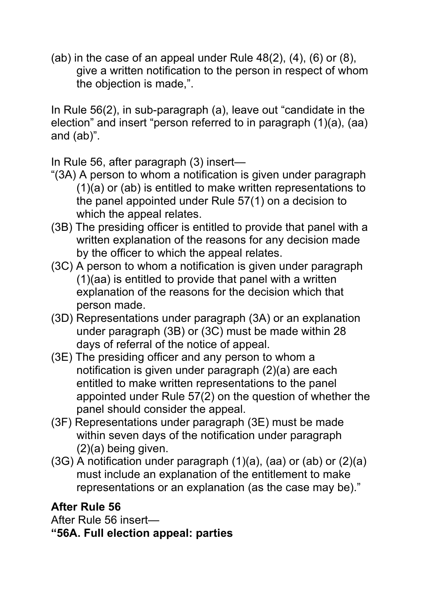(ab) in the case of an appeal under Rule  $48(2)$ ,  $(4)$ ,  $(6)$  or  $(8)$ , give a written notification to the person in respect of whom the objection is made,".

In Rule 56(2), in sub-paragraph (a), leave out "candidate in the election" and insert "person referred to in paragraph (1)(a), (aa) and (ab)".

In Rule 56, after paragraph (3) insert—

- "(3A) A person to whom a notification is given under paragraph (1)(a) or (ab) is entitled to make written representations to the panel appointed under Rule 57(1) on a decision to which the appeal relates.
- (3B) The presiding officer is entitled to provide that panel with a written explanation of the reasons for any decision made by the officer to which the appeal relates.
- (3C) A person to whom a notification is given under paragraph (1)(aa) is entitled to provide that panel with a written explanation of the reasons for the decision which that person made.
- (3D) Representations under paragraph (3A) or an explanation under paragraph (3B) or (3C) must be made within 28 days of referral of the notice of appeal.
- (3E) The presiding officer and any person to whom a notification is given under paragraph (2)(a) are each entitled to make written representations to the panel appointed under Rule 57(2) on the question of whether the panel should consider the appeal.
- (3F) Representations under paragraph (3E) must be made within seven days of the notification under paragraph (2)(a) being given.
- $(3G)$  A notification under paragraph  $(1)(a)$ ,  $(aa)$  or  $(ab)$  or  $(2)(a)$ must include an explanation of the entitlement to make representations or an explanation (as the case may be)."

# **After Rule 56**

After Rule 56 insert—

**"56A. Full election appeal: parties**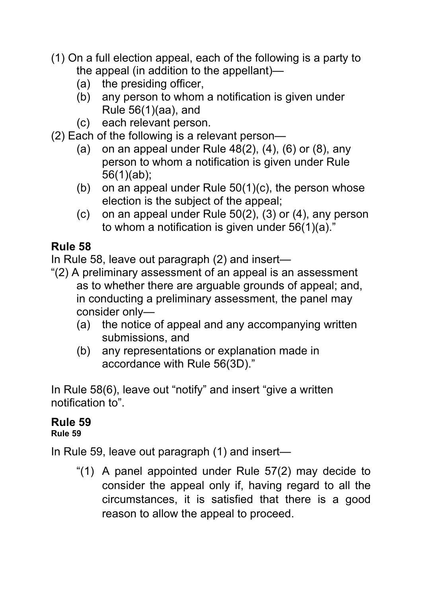- (1) On a full election appeal, each of the following is a party to the appeal (in addition to the appellant)—
	- (a) the presiding officer,
	- (b) any person to whom a notification is given under Rule 56(1)(aa), and
	- (c) each relevant person.
- (2) Each of the following is a relevant person—
	- (a) on an appeal under Rule  $48(2)$ ,  $(4)$ ,  $(6)$  or  $(8)$ , any person to whom a notification is given under Rule 56(1)(ab);
	- (b) on an appeal under Rule  $50(1)(c)$ , the person whose election is the subject of the appeal;
	- (c) on an appeal under Rule 50(2), (3) or (4), any person to whom a notification is given under 56(1)(a)."

## **Rule 58**

In Rule 58, leave out paragraph (2) and insert—

- "(2) A preliminary assessment of an appeal is an assessment as to whether there are arguable grounds of appeal; and, in conducting a preliminary assessment, the panel may consider only—
	- (a) the notice of appeal and any accompanying written submissions, and
	- (b) any representations or explanation made in accordance with Rule 56(3D)."

In Rule 58(6), leave out "notify" and insert "give a written notification to".

# **Rule 59**

#### **Rule 59**

In Rule 59, leave out paragraph (1) and insert—

"(1) A panel appointed under Rule 57(2) may decide to consider the appeal only if, having regard to all the circumstances, it is satisfied that there is a good reason to allow the appeal to proceed.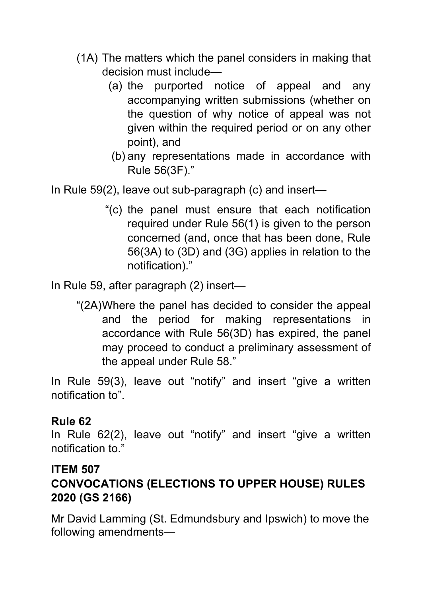- (1A) The matters which the panel considers in making that decision must include—
	- (a) the purported notice of appeal and any accompanying written submissions (whether on the question of why notice of appeal was not given within the required period or on any other point), and
	- (b) any representations made in accordance with Rule 56(3F)."

In Rule 59(2), leave out sub-paragraph (c) and insert—

"(c) the panel must ensure that each notification required under Rule 56(1) is given to the person concerned (and, once that has been done, Rule 56(3A) to (3D) and (3G) applies in relation to the notification)."

In Rule 59, after paragraph (2) insert—

"(2A)Where the panel has decided to consider the appeal and the period for making representations in accordance with Rule 56(3D) has expired, the panel may proceed to conduct a preliminary assessment of the appeal under Rule 58."

In Rule 59(3), leave out "notify" and insert "give a written notification to".

#### **Rule 62**

In Rule 62(2), leave out "notify" and insert "give a written notification to."

#### **ITEM 507**

### **CONVOCATIONS (ELECTIONS TO UPPER HOUSE) RULES 2020 (GS 2166)**

Mr David Lamming (St. Edmundsbury and Ipswich) to move the following amendments—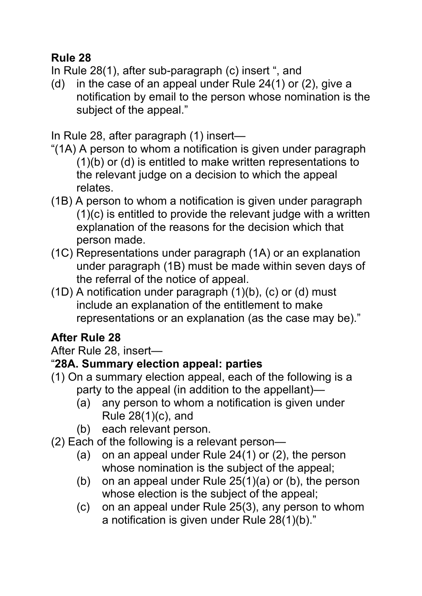#### **Rule 28**

In Rule 28(1), after sub-paragraph (c) insert ", and

(d) in the case of an appeal under Rule 24(1) or (2), give a notification by email to the person whose nomination is the subject of the appeal."

In Rule 28, after paragraph (1) insert—

- "(1A) A person to whom a notification is given under paragraph (1)(b) or (d) is entitled to make written representations to the relevant judge on a decision to which the appeal relates.
- (1B) A person to whom a notification is given under paragraph (1)(c) is entitled to provide the relevant judge with a written explanation of the reasons for the decision which that person made.
- (1C) Representations under paragraph (1A) or an explanation under paragraph (1B) must be made within seven days of the referral of the notice of appeal.
- (1D) A notification under paragraph (1)(b), (c) or (d) must include an explanation of the entitlement to make representations or an explanation (as the case may be)."

# **After Rule 28**

#### After Rule 28, insert—

### "**28A. Summary election appeal: parties**

- (1) On a summary election appeal, each of the following is a party to the appeal (in addition to the appellant)—
	- (a) any person to whom a notification is given under Rule 28(1)(c), and
	- (b) each relevant person.
- (2) Each of the following is a relevant person—
	- (a) on an appeal under Rule 24(1) or (2), the person whose nomination is the subject of the appeal;
	- (b) on an appeal under Rule 25(1)(a) or (b), the person whose election is the subject of the appeal;
	- (c) on an appeal under Rule 25(3), any person to whom a notification is given under Rule 28(1)(b)."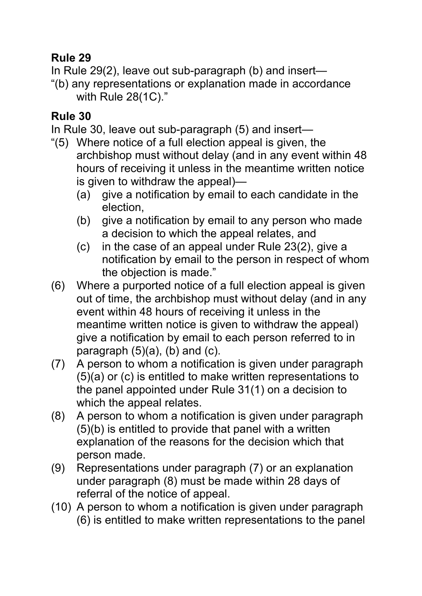#### **Rule 29**

In Rule 29(2), leave out sub-paragraph (b) and insert—

"(b) any representations or explanation made in accordance with Rule 28(1C)."

#### **Rule 30**

In Rule 30, leave out sub-paragraph (5) and insert—

- "(5) Where notice of a full election appeal is given, the archbishop must without delay (and in any event within 48 hours of receiving it unless in the meantime written notice is given to withdraw the appeal)—
	- (a) give a notification by email to each candidate in the election,
	- (b) give a notification by email to any person who made a decision to which the appeal relates, and
	- (c) in the case of an appeal under Rule 23(2), give a notification by email to the person in respect of whom the objection is made."
- (6) Where a purported notice of a full election appeal is given out of time, the archbishop must without delay (and in any event within 48 hours of receiving it unless in the meantime written notice is given to withdraw the appeal) give a notification by email to each person referred to in paragraph  $(5)(a)$ ,  $(b)$  and  $(c)$ .
- (7) A person to whom a notification is given under paragraph (5)(a) or (c) is entitled to make written representations to the panel appointed under Rule 31(1) on a decision to which the appeal relates.
- (8) A person to whom a notification is given under paragraph (5)(b) is entitled to provide that panel with a written explanation of the reasons for the decision which that person made.
- (9) Representations under paragraph (7) or an explanation under paragraph (8) must be made within 28 days of referral of the notice of appeal.
- (10) A person to whom a notification is given under paragraph (6) is entitled to make written representations to the panel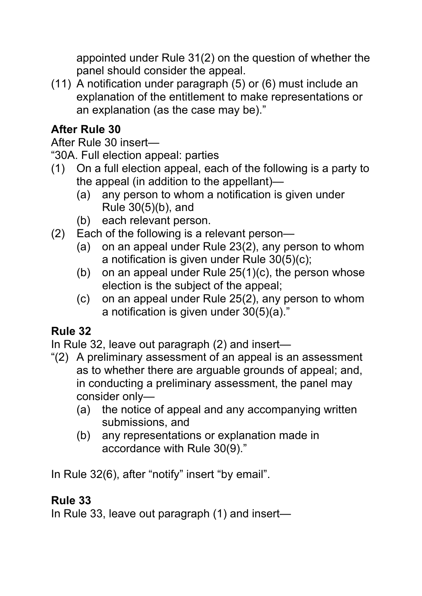appointed under Rule 31(2) on the question of whether the panel should consider the appeal.

(11) A notification under paragraph (5) or (6) must include an explanation of the entitlement to make representations or an explanation (as the case may be)."

# **After Rule 30**

After Rule 30 insert—

"30A. Full election appeal: parties

- (1) On a full election appeal, each of the following is a party to the appeal (in addition to the appellant)—
	- (a) any person to whom a notification is given under Rule 30(5)(b), and
	- (b) each relevant person.
- (2) Each of the following is a relevant person—
	- (a) on an appeal under Rule 23(2), any person to whom a notification is given under Rule 30(5)(c);
	- (b) on an appeal under Rule  $25(1)(c)$ , the person whose election is the subject of the appeal;
	- (c) on an appeal under Rule 25(2), any person to whom a notification is given under 30(5)(a)."

# **Rule 32**

In Rule 32, leave out paragraph (2) and insert—

- "(2) A preliminary assessment of an appeal is an assessment as to whether there are arguable grounds of appeal; and, in conducting a preliminary assessment, the panel may consider only—
	- (a) the notice of appeal and any accompanying written submissions, and
	- (b) any representations or explanation made in accordance with Rule 30(9)."

In Rule 32(6), after "notify" insert "by email".

### **Rule 33**

In Rule 33, leave out paragraph (1) and insert—